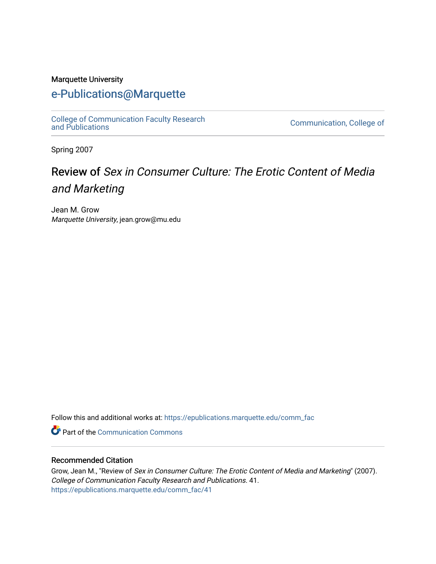### Marquette University

## [e-Publications@Marquette](https://epublications.marquette.edu/)

[College of Communication Faculty Research](https://epublications.marquette.edu/comm_fac)

Communication, College of

Spring 2007

## Review of Sex in Consumer Culture: The Erotic Content of Media and Marketing

Jean M. Grow Marquette University, jean.grow@mu.edu

Follow this and additional works at: [https://epublications.marquette.edu/comm\\_fac](https://epublications.marquette.edu/comm_fac?utm_source=epublications.marquette.edu%2Fcomm_fac%2F41&utm_medium=PDF&utm_campaign=PDFCoverPages) 

Part of the [Communication Commons](http://network.bepress.com/hgg/discipline/325?utm_source=epublications.marquette.edu%2Fcomm_fac%2F41&utm_medium=PDF&utm_campaign=PDFCoverPages) 

### Recommended Citation

Grow, Jean M., "Review of Sex in Consumer Culture: The Erotic Content of Media and Marketing" (2007). College of Communication Faculty Research and Publications. 41. [https://epublications.marquette.edu/comm\\_fac/41](https://epublications.marquette.edu/comm_fac/41?utm_source=epublications.marquette.edu%2Fcomm_fac%2F41&utm_medium=PDF&utm_campaign=PDFCoverPages)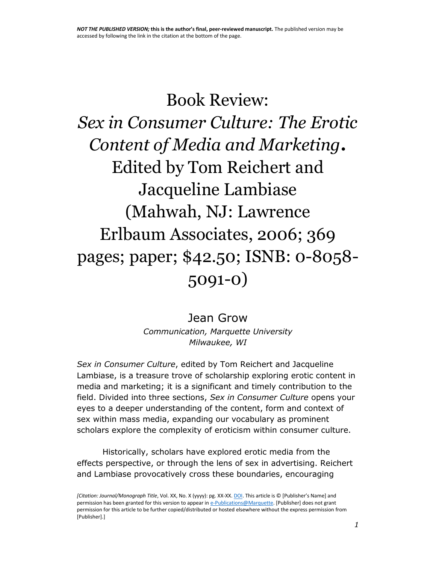# Book Review: *Sex in Consumer Culture: The Erotic Content of Media and Marketing***.** Edited by Tom Reichert and Jacqueline Lambiase (Mahwah, NJ: Lawrence Erlbaum Associates, 2006; 369 pages; paper; \$42.50; ISNB: 0-8058- 5091-0)

Jean Grow *Communication, Marquette University Milwaukee, WI*

*Sex in Consumer Culture*, edited by Tom Reichert and Jacqueline Lambiase, is a treasure trove of scholarship exploring erotic content in media and marketing; it is a significant and timely contribution to the field. Divided into three sections, *Sex in Consumer Culture* opens your eyes to a deeper understanding of the content, form and context of sex within mass media, expanding our vocabulary as prominent scholars explore the complexity of eroticism within consumer culture.

Historically, scholars have explored erotic media from the effects perspective, or through the lens of sex in advertising. Reichert and Lambiase provocatively cross these boundaries, encouraging

*[Citation: Journal/Monograph Title*, Vol. XX, No. X (yyyy): pg. XX-XX[. DOI.](file:///C:/Users/olsons/Desktop/dx.doi.org/10.1108/15253831111126721) This article is © [Publisher's Name] and permission has been granted for this version to appear i[n e-Publications@Marquette.](http://epublications.marquette.edu/) [Publisher] does not grant permission for this article to be further copied/distributed or hosted elsewhere without the express permission from [Publisher].]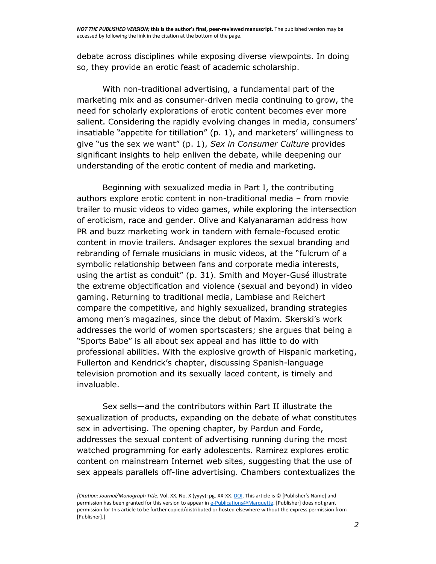debate across disciplines while exposing diverse viewpoints. In doing so, they provide an erotic feast of academic scholarship.

With non-traditional advertising, a fundamental part of the marketing mix and as consumer-driven media continuing to grow, the need for scholarly explorations of erotic content becomes ever more salient. Considering the rapidly evolving changes in media, consumers' insatiable "appetite for titillation" (p. 1), and marketers' willingness to give "us the sex we want" (p. 1), *Sex in Consumer Culture* provides significant insights to help enliven the debate, while deepening our understanding of the erotic content of media and marketing.

Beginning with sexualized media in Part I, the contributing authors explore erotic content in non-traditional media – from movie trailer to music videos to video games, while exploring the intersection of eroticism, race and gender. Olive and Kalyanaraman address how PR and buzz marketing work in tandem with female-focused erotic content in movie trailers. Andsager explores the sexual branding and rebranding of female musicians in music videos, at the "fulcrum of a symbolic relationship between fans and corporate media interests, using the artist as conduit" (p. 31). Smith and Moyer-Gusé illustrate the extreme objectification and violence (sexual and beyond) in video gaming. Returning to traditional media, Lambiase and Reichert compare the competitive, and highly sexualized, branding strategies among men's magazines, since the debut of Maxim. Skerski's work addresses the world of women sportscasters; she argues that being a "Sports Babe" is all about sex appeal and has little to do with professional abilities. With the explosive growth of Hispanic marketing, Fullerton and Kendrick's chapter, discussing Spanish-language television promotion and its sexually laced content, is timely and invaluable.

Sex sells—and the contributors within Part II illustrate the sexualization of products, expanding on the debate of what constitutes sex in advertising. The opening chapter, by Pardun and Forde, addresses the sexual content of advertising running during the most watched programming for early adolescents. Ramirez explores erotic content on mainstream Internet web sites, suggesting that the use of sex appeals parallels off-line advertising. Chambers contextualizes the

*<sup>[</sup>Citation: Journal/Monograph Title*, Vol. XX, No. X (yyyy): pg. XX-XX[. DOI.](file:///C:/Users/olsons/Desktop/dx.doi.org/10.1108/15253831111126721) This article is © [Publisher's Name] and permission has been granted for this version to appear i[n e-Publications@Marquette.](http://epublications.marquette.edu/) [Publisher] does not grant permission for this article to be further copied/distributed or hosted elsewhere without the express permission from [Publisher].]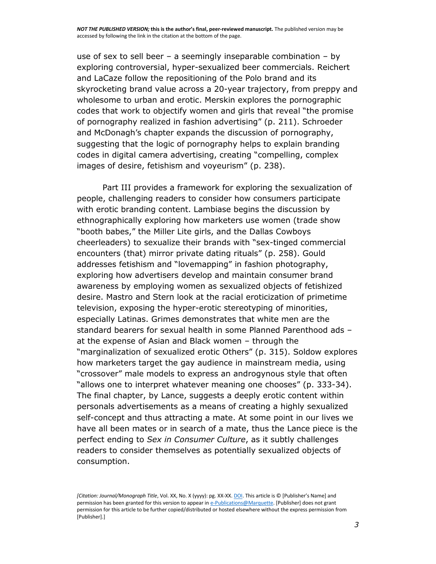use of sex to sell beer – a seemingly inseparable combination – by exploring controversial, hyper-sexualized beer commercials. Reichert and LaCaze follow the repositioning of the Polo brand and its skyrocketing brand value across a 20-year trajectory, from preppy and wholesome to urban and erotic. Merskin explores the pornographic codes that work to objectify women and girls that reveal "the promise of pornography realized in fashion advertising" (p. 211). Schroeder and McDonagh's chapter expands the discussion of pornography, suggesting that the logic of pornography helps to explain branding codes in digital camera advertising, creating "compelling, complex images of desire, fetishism and voyeurism" (p. 238).

Part III provides a framework for exploring the sexualization of people, challenging readers to consider how consumers participate with erotic branding content. Lambiase begins the discussion by ethnographically exploring how marketers use women (trade show "booth babes," the Miller Lite girls, and the Dallas Cowboys cheerleaders) to sexualize their brands with "sex-tinged commercial encounters (that) mirror private dating rituals" (p. 258). Gould addresses fetishism and "lovemapping" in fashion photography, exploring how advertisers develop and maintain consumer brand awareness by employing women as sexualized objects of fetishized desire. Mastro and Stern look at the racial eroticization of primetime television, exposing the hyper-erotic stereotyping of minorities, especially Latinas. Grimes demonstrates that white men are the standard bearers for sexual health in some Planned Parenthood ads – at the expense of Asian and Black women – through the "marginalization of sexualized erotic Others" (p. 315). Soldow explores how marketers target the gay audience in mainstream media, using "crossover" male models to express an androgynous style that often "allows one to interpret whatever meaning one chooses" (p. 333-34). The final chapter, by Lance, suggests a deeply erotic content within personals advertisements as a means of creating a highly sexualized self-concept and thus attracting a mate. At some point in our lives we have all been mates or in search of a mate, thus the Lance piece is the perfect ending to *Sex in Consumer Culture*, as it subtly challenges readers to consider themselves as potentially sexualized objects of consumption.

*<sup>[</sup>Citation: Journal/Monograph Title*, Vol. XX, No. X (yyyy): pg. XX-XX[. DOI.](file:///C:/Users/olsons/Desktop/dx.doi.org/10.1108/15253831111126721) This article is © [Publisher's Name] and permission has been granted for this version to appear i[n e-Publications@Marquette.](http://epublications.marquette.edu/) [Publisher] does not grant permission for this article to be further copied/distributed or hosted elsewhere without the express permission from [Publisher].]